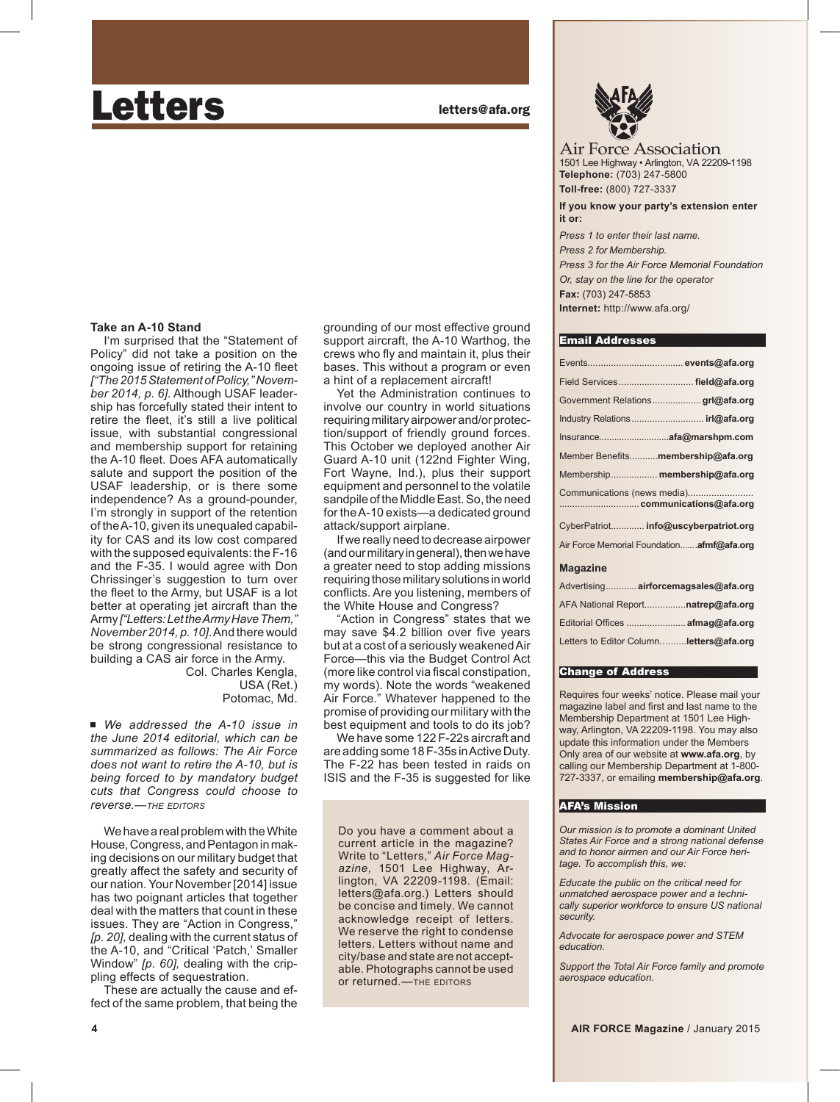# Letters **Letters Letters Letters Letters**

## **Take an A-10 Stand**

I'm surprised that the "Statement of Policy" did not take a position on the ongoing issue of retiring the A-10 fleet *["The 2015 Statement of Policy," November 2014, p. 6].* Although USAF leadership has forcefully stated their intent to retire the fleet, it's still a live political issue, with substantial congressional and membership support for retaining the A-10 fleet. Does AFA automatically salute and support the position of the USAF leadership, or is there some independence? As a ground-pounder, I'm strongly in support of the retention of the A-10, given its unequaled capability for CAS and its low cost compared with the supposed equivalents: the F-16 and the F-35. I would agree with Don Chrissinger's suggestion to turn over the fleet to the Army, but USAF is a lot better at operating jet aircraft than the Army *["Letters: Let the Army Have Them," November 2014, p. 10]*. And there would be strong congressional resistance to building a CAS air force in the Army.

Col. Charles Kengla, USA (Ret.) Potomac, Md.

■ We addressed the A-10 issue in *the June 2014 editorial, which can be summarized as follows: The Air Force does not want to retire the A-10, but is being forced to by mandatory budget cuts that Congress could choose to reverse.—THE EDITORS*

We have a real problem with the White House, Congress, and Pentagon in making decisions on our military budget that greatly affect the safety and security of our nation. Your November [2014] issue has two poignant articles that together deal with the matters that count in these issues. They are "Action in Congress," *[p. 20],* dealing with the current status of the A-10, and "Critical 'Patch,' Smaller Window" *[p. 60],* dealing with the crippling effects of sequestration.

These are actually the cause and effect of the same problem, that being the grounding of our most effective ground support aircraft, the A-10 Warthog, the crews who fly and maintain it, plus their bases. This without a program or even a hint of a replacement aircraft!

Yet the Administration continues to involve our country in world situations requiring military airpower and/or protection/support of friendly ground forces. This October we deployed another Air Guard A-10 unit (122nd Fighter Wing, Fort Wayne, Ind.), plus their support equipment and personnel to the volatile sandpile of the Middle East. So, the need for the A-10 exists—a dedicated ground attack/support airplane.

If we really need to decrease airpower (and our military in general), then we have a greater need to stop adding missions requiring those military solutions in world conflicts. Are you listening, members of the White House and Congress?

"Action in Congress" states that we may save \$4.2 billion over five years but at a cost of a seriously weakened Air Force—this via the Budget Control Act (more like control via fiscal constipation, my words). Note the words "weakened Air Force." Whatever happened to the promise of providing our military with the best equipment and tools to do its job?

We have some 122 F-22s aircraft and are adding some 18 F-35s in Active Duty. The F-22 has been tested in raids on ISIS and the F-35 is suggested for like

Do you have a comment about a current article in the magazine? Write to "Letters," *Air Force Maga zine,* 1501 Lee Highway, Arlington, VA 22209-1198. (Email: letters@afa.org.) Letters should be concise and timely. We cannot acknowledge receipt of letters. We reserve the right to condense letters. Letters without name and city/base and state are not acceptable. Photographs cannot be used or returned.—THE EDITORS



Air Force Association 1501 Lee Highway • Arlington, VA 22209-1198 **Telephone:** (703) 247-5800 **Toll-free:** (800) 727-3337

**If you know your party's extension enter it or:**

*Press 1 to enter their last name. Press 2 for Membership. Press 3 for the Air Force Memorial Foundation Or, stay on the line for the operator*  **Fax:** (703) 247-5853 **Internet:** http://www.afa.org/

#### Email Addresses

| Field Services field@afa.org               |
|--------------------------------------------|
| Government Relationsgrl@afa.org            |
|                                            |
|                                            |
| Member Benefitsmembership@afa.org          |
| Membership membership@afa.org              |
| Communications (news media)                |
| CyberPatriot info@uscyberpatriot.org       |
| Air Force Memorial Foundation afmf@afa.org |
|                                            |

#### **Magazine**

| Advertising airforcemagsales@afa.org    |  |
|-----------------------------------------|--|
| AFA National Report natrep@afa.org      |  |
|                                         |  |
| Letters to Editor Columnletters@afa.org |  |

#### Change of Address

Requires four weeks' notice. Please mail your magazine label and first and last name to the Membership Department at 1501 Lee Highway, Arlington, VA 22209-1198. You may also update this information under the Members Only area of our website at **www.afa.org**, by calling our Membership Department at 1-800- 727-3337, or emailing **membership@afa.org**.

#### AFA's Mission

*Our mission is to promote a dominant United States Air Force and a strong national defense and to honor airmen and our Air Force heritage. To accomplish this, we:*

*Educate the public on the critical need for unmatched aerospace power and a technically superior workforce to ensure US national security.*

*Advocate for aerospace power and STEM education.*

*Support the Total Air Force family and promote aerospace education.*